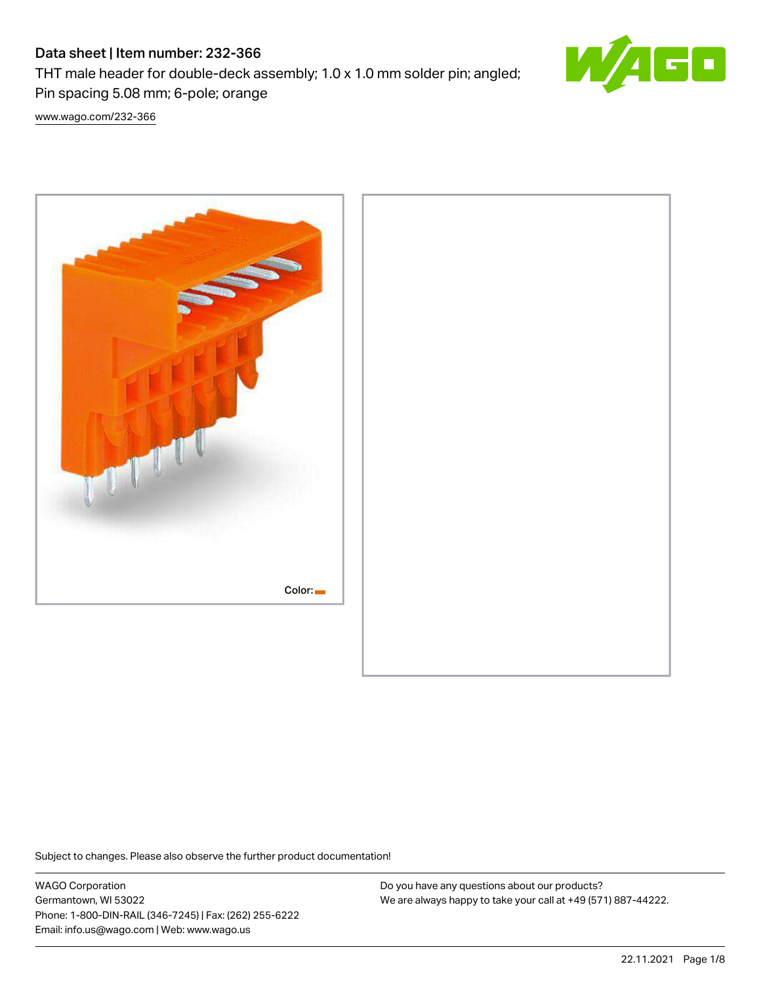# Data sheet | Item number: 232-366

THT male header for double-deck assembly; 1.0 x 1.0 mm solder pin; angled;

Pin spacing 5.08 mm; 6-pole; orange

[www.wago.com/232-366](http://www.wago.com/232-366)



Subject to changes. Please also observe the further product documentation!

WAGO Corporation Germantown, WI 53022 Phone: 1-800-DIN-RAIL (346-7245) | Fax: (262) 255-6222 Email: info.us@wago.com | Web: www.wago.us

Do you have any questions about our products? We are always happy to take your call at +49 (571) 887-44222.

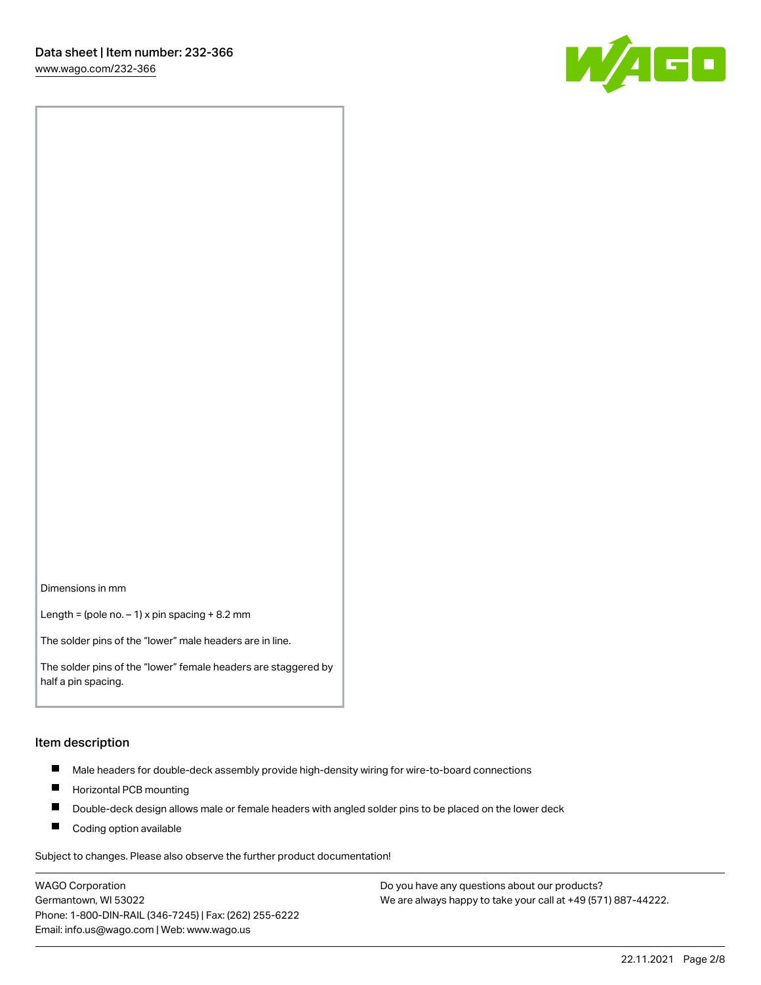

Dimensions in mm

Length = (pole no.  $-1$ ) x pin spacing + 8.2 mm

The solder pins of the "lower" male headers are in line.

The solder pins of the "lower" female headers are staggered by half a pin spacing.

#### Item description

- $\blacksquare$ Male headers for double-deck assembly provide high-density wiring for wire-to-board connections
- $\blacksquare$ Horizontal PCB mounting
- $\blacksquare$ Double-deck design allows male or female headers with angled solder pins to be placed on the lower deck
- $\blacksquare$ Coding option available

Subject to changes. Please also observe the further product documentation!

WAGO Corporation Germantown, WI 53022 Phone: 1-800-DIN-RAIL (346-7245) | Fax: (262) 255-6222 Email: info.us@wago.com | Web: www.wago.us

Do you have any questions about our products? We are always happy to take your call at +49 (571) 887-44222.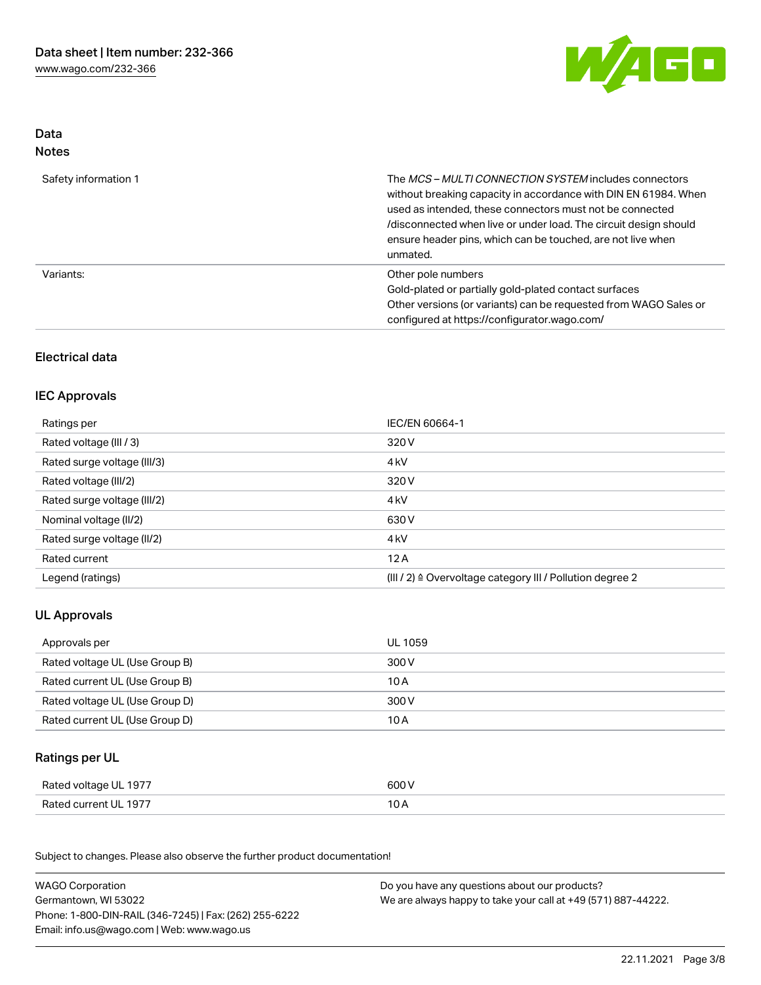

## Data Notes

| Safety information 1 | The MCS-MULTI CONNECTION SYSTEM includes connectors<br>without breaking capacity in accordance with DIN EN 61984. When<br>used as intended, these connectors must not be connected<br>/disconnected when live or under load. The circuit design should<br>ensure header pins, which can be touched, are not live when<br>unmated. |
|----------------------|-----------------------------------------------------------------------------------------------------------------------------------------------------------------------------------------------------------------------------------------------------------------------------------------------------------------------------------|
| Variants:            | Other pole numbers<br>Gold-plated or partially gold-plated contact surfaces<br>Other versions (or variants) can be requested from WAGO Sales or<br>configured at https://configurator.wago.com/                                                                                                                                   |

## Electrical data

## IEC Approvals

| Ratings per                 | IEC/EN 60664-1                                                        |
|-----------------------------|-----------------------------------------------------------------------|
| Rated voltage (III / 3)     | 320 V                                                                 |
| Rated surge voltage (III/3) | 4 <sub>k</sub> V                                                      |
| Rated voltage (III/2)       | 320 V                                                                 |
| Rated surge voltage (III/2) | 4 <sub>k</sub> V                                                      |
| Nominal voltage (II/2)      | 630 V                                                                 |
| Rated surge voltage (II/2)  | 4 <sub>k</sub> V                                                      |
| Rated current               | 12A                                                                   |
| Legend (ratings)            | $(III / 2)$ $\triangle$ Overvoltage category III / Pollution degree 2 |

# UL Approvals

| Approvals per                  | UL 1059 |
|--------------------------------|---------|
| Rated voltage UL (Use Group B) | 300 V   |
| Rated current UL (Use Group B) | 10 A    |
| Rated voltage UL (Use Group D) | 300 V   |
| Rated current UL (Use Group D) | 10 A    |

# Ratings per UL

| Rated voltage UL 1977 | 600 V |
|-----------------------|-------|
| Rated current UL 1977 | U A   |

Subject to changes. Please also observe the further product documentation!

| <b>WAGO Corporation</b>                                | Do you have any questions about our products?                 |
|--------------------------------------------------------|---------------------------------------------------------------|
| Germantown, WI 53022                                   | We are always happy to take your call at +49 (571) 887-44222. |
| Phone: 1-800-DIN-RAIL (346-7245)   Fax: (262) 255-6222 |                                                               |
| Email: info.us@wago.com   Web: www.wago.us             |                                                               |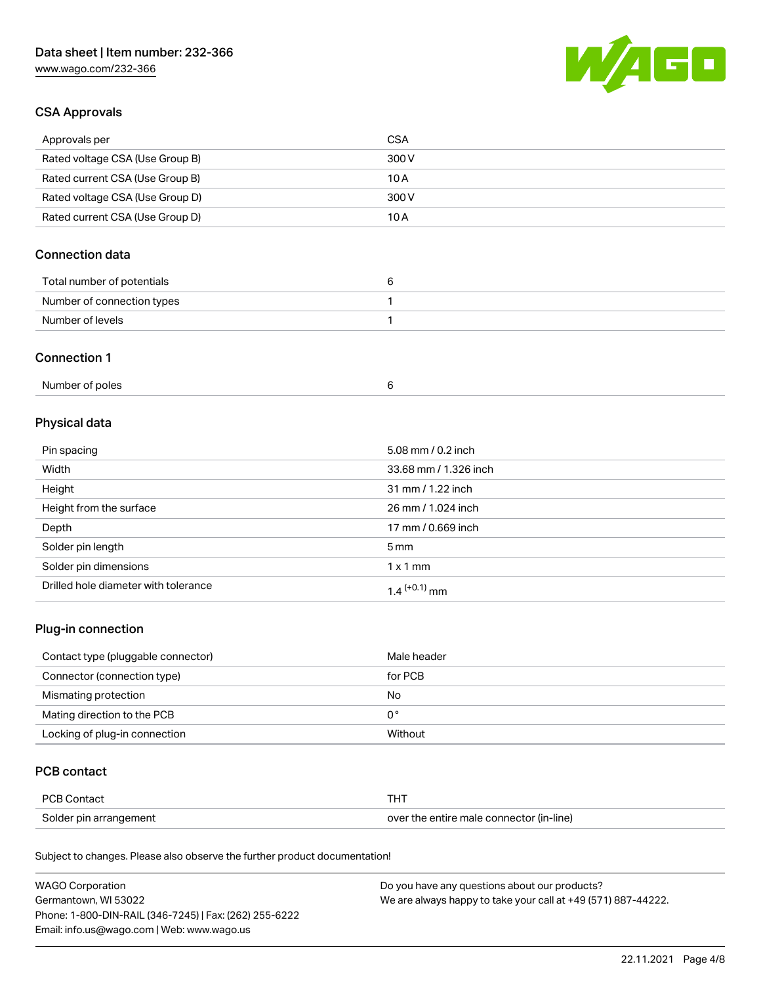# Data sheet | Item number: 232-366

[www.wago.com/232-366](http://www.wago.com/232-366)



## CSA Approvals

| Approvals per                   | CSA   |
|---------------------------------|-------|
| Rated voltage CSA (Use Group B) | 300 V |
| Rated current CSA (Use Group B) | 10 A  |
| Rated voltage CSA (Use Group D) | 300 V |
| Rated current CSA (Use Group D) | 10 A  |

## Connection data

| Total number of potentials |  |
|----------------------------|--|
| Number of connection types |  |
| Number of levels           |  |

#### Connection 1

| Number of poles |  |
|-----------------|--|
|                 |  |

# Physical data

| Pin spacing                          | 5.08 mm / 0.2 inch    |
|--------------------------------------|-----------------------|
| Width                                | 33.68 mm / 1.326 inch |
| Height                               | 31 mm / 1.22 inch     |
| Height from the surface              | 26 mm / 1.024 inch    |
| Depth                                | 17 mm / 0.669 inch    |
| Solder pin length                    | $5 \,\mathrm{mm}$     |
| Solder pin dimensions                | $1 \times 1$ mm       |
| Drilled hole diameter with tolerance | $1.4$ $(+0.1)$ mm     |

## Plug-in connection

| Contact type (pluggable connector) | Male header |
|------------------------------------|-------------|
| Connector (connection type)        | for PCB     |
| Mismating protection               | No          |
| Mating direction to the PCB        | 0°          |
| Locking of plug-in connection      | Without     |

## PCB contact

| PCB Contact            |                                          |
|------------------------|------------------------------------------|
| Solder pin arrangement | over the entire male connector (in-line) |

Subject to changes. Please also observe the further product documentation!

| <b>WAGO Corporation</b>                                | Do you have any questions about our products?                 |
|--------------------------------------------------------|---------------------------------------------------------------|
| Germantown, WI 53022                                   | We are always happy to take your call at +49 (571) 887-44222. |
| Phone: 1-800-DIN-RAIL (346-7245)   Fax: (262) 255-6222 |                                                               |
| Email: info.us@wago.com   Web: www.wago.us             |                                                               |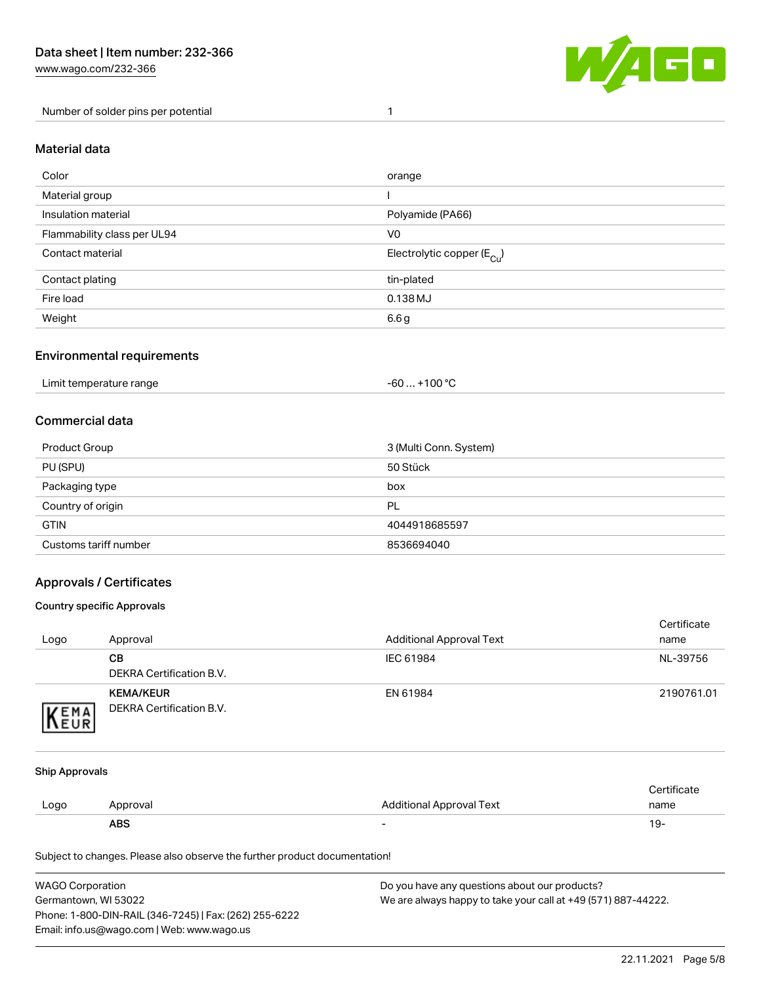Number of solder pins per potential 1



#### Material data

| Color                       | orange                                 |
|-----------------------------|----------------------------------------|
| Material group              |                                        |
| Insulation material         | Polyamide (PA66)                       |
| Flammability class per UL94 | V <sub>0</sub>                         |
| Contact material            | Electrolytic copper (E <sub>Cu</sub> ) |
| Contact plating             | tin-plated                             |
| Fire load                   | $0.138$ MJ                             |
| Weight                      | 6.6 g                                  |

## Environmental requirements

Limit temperature range  $-60... +100$  °C

## Commercial data

| Product Group         | 3 (Multi Conn. System) |
|-----------------------|------------------------|
| PU (SPU)              | 50 Stück               |
| Packaging type        | box                    |
| Country of origin     | PL                     |
| <b>GTIN</b>           | 4044918685597          |
| Customs tariff number | 8536694040             |

## Approvals / Certificates

#### Country specific Approvals

| Logo                | Approval                                     | <b>Additional Approval Text</b> | Certificate<br>name |
|---------------------|----------------------------------------------|---------------------------------|---------------------|
|                     | CВ<br>DEKRA Certification B.V.               | IEC 61984                       | NL-39756            |
| <b>VEMA</b><br>NEUR | <b>KEMA/KEUR</b><br>DEKRA Certification B.V. | EN 61984                        | 2190761.01          |

#### Ship Approvals

|      | <b>ABS</b> | -                               | 19-         |
|------|------------|---------------------------------|-------------|
| Logo | Approval   | <b>Additional Approval Text</b> | name        |
|      |            |                                 | ertificate. |

Subject to changes. Please also observe the further product documentation!

| WAGO Corporation                                       | Do you have any questions about our products?                 |
|--------------------------------------------------------|---------------------------------------------------------------|
| Germantown, WI 53022                                   | We are always happy to take your call at +49 (571) 887-44222. |
| Phone: 1-800-DIN-RAIL (346-7245)   Fax: (262) 255-6222 |                                                               |
| Email: info.us@wago.com   Web: www.wago.us             |                                                               |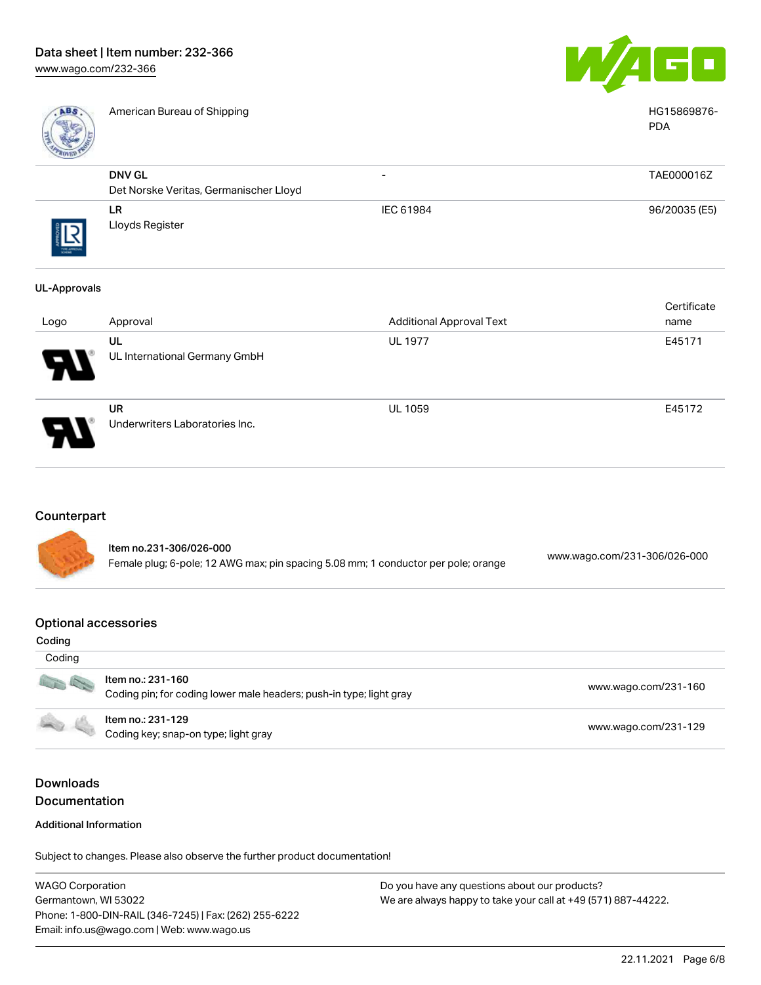

American Bureau of Shipping HG15869876-



PDA

| RIVER      |                                        |                          |               |
|------------|----------------------------------------|--------------------------|---------------|
|            | <b>DNV GL</b>                          | $\overline{\phantom{0}}$ | TAE000016Z    |
|            | Det Norske Veritas, Germanischer Lloyd |                          |               |
|            | <b>LR</b>                              | IEC 61984                | 96/20035 (E5) |
| THE APROVA | Lloyds Register                        |                          |               |

#### UL-Approvals

| Logo                  | Approval                             | <b>Additional Approval Text</b> | Certificate<br>name |
|-----------------------|--------------------------------------|---------------------------------|---------------------|
| $\boldsymbol{\theta}$ | UL<br>UL International Germany GmbH  | <b>UL 1977</b>                  | E45171              |
| J                     | UR<br>Underwriters Laboratories Inc. | <b>UL 1059</b>                  | E45172              |

## **Counterpart**

Item no.231-306/026-000 Female plug; 6-pole; 12 AWG max; pin spacing 5.08 mm; 1 conductor per pole; orange [www.wago.com/231-306/026-000](https://www.wago.com/231-306/026-000)

#### Optional accessories

| Coding            |                                                                                          |                      |
|-------------------|------------------------------------------------------------------------------------------|----------------------|
| Coding            |                                                                                          |                      |
| DE                | Item no.: 231-160<br>Coding pin; for coding lower male headers; push-in type; light gray | www.wago.com/231-160 |
| <b>CONTRACTOR</b> | Item no.: 231-129<br>Coding key; snap-on type; light gray                                | www.wago.com/231-129 |

# Downloads Documentation

#### Additional Information

Subject to changes. Please also observe the further product documentation!

WAGO Corporation Germantown, WI 53022 Phone: 1-800-DIN-RAIL (346-7245) | Fax: (262) 255-6222 Email: info.us@wago.com | Web: www.wago.us Do you have any questions about our products? We are always happy to take your call at +49 (571) 887-44222.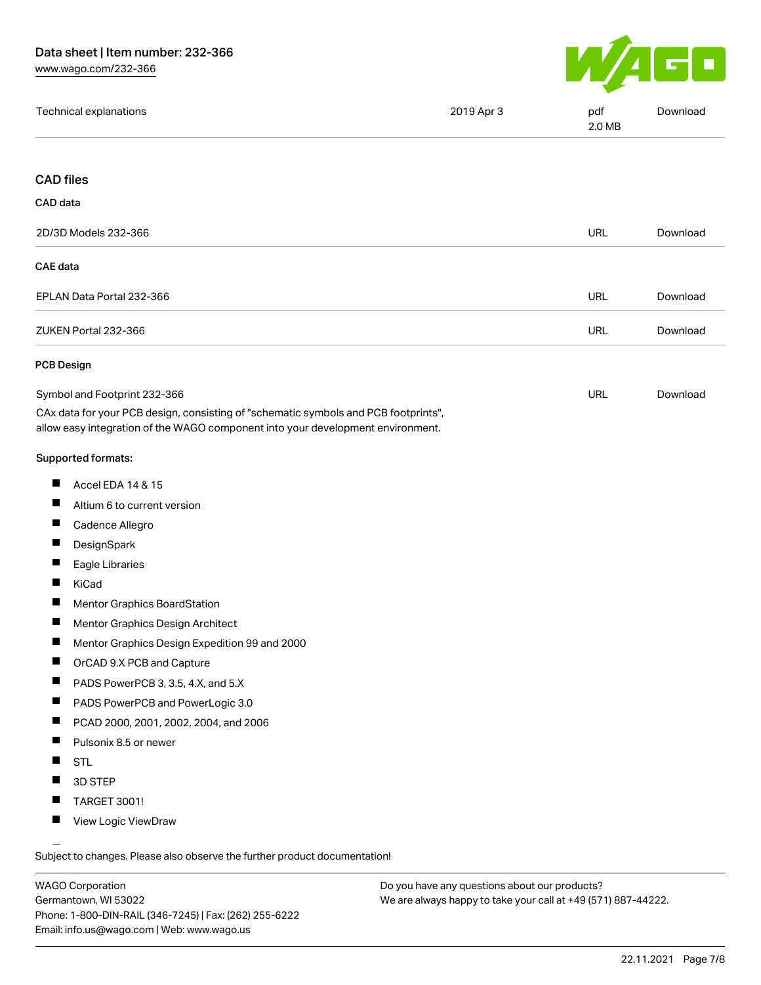

|  | Technical explanations | 2019 Apr 3 | pdf<br>2.0 MB | Download |
|--|------------------------|------------|---------------|----------|
|--|------------------------|------------|---------------|----------|

#### CAD files

| CAD data                  |            |          |
|---------------------------|------------|----------|
| 2D/3D Models 232-366      | <b>URL</b> | Download |
| CAE data                  |            |          |
| EPLAN Data Portal 232-366 | <b>URL</b> | Download |
| ZUKEN Portal 232-366      | <b>URL</b> | Download |
| <b>PCB Design</b>         |            |          |

| Symbol and Footprint 232-366                                                        | URL | Download |
|-------------------------------------------------------------------------------------|-----|----------|
| CAx data for your PCB design, consisting of "schematic symbols and PCB footprints", |     |          |
| allow easy integration of the WAGO component into your development environment.     |     |          |

#### Supported formats:

- $\blacksquare$ Accel EDA 14 & 15
- $\blacksquare$ Altium 6 to current version
- $\blacksquare$ Cadence Allegro
- $\blacksquare$ **DesignSpark**
- $\blacksquare$ Eagle Libraries
- $\blacksquare$ KiCad
- $\blacksquare$ Mentor Graphics BoardStation
- $\blacksquare$ Mentor Graphics Design Architect
- $\blacksquare$ Mentor Graphics Design Expedition 99 and 2000
- $\blacksquare$ OrCAD 9.X PCB and Capture
- П PADS PowerPCB 3, 3.5, 4.X, and 5.X
- П PADS PowerPCB and PowerLogic 3.0
- $\blacksquare$ PCAD 2000, 2001, 2002, 2004, and 2006
- $\blacksquare$ Pulsonix 8.5 or newer
- $\blacksquare$ STL
- $\blacksquare$ 3D STEP
- $\blacksquare$ TARGET 3001!
- $\blacksquare$ View Logic ViewDraw

Subject to changes. Please also observe the further product documentation!

WAGO Corporation Germantown, WI 53022 Phone: 1-800-DIN-RAIL (346-7245) | Fax: (262) 255-6222 Email: info.us@wago.com | Web: www.wago.us

Do you have any questions about our products? We are always happy to take your call at +49 (571) 887-44222.